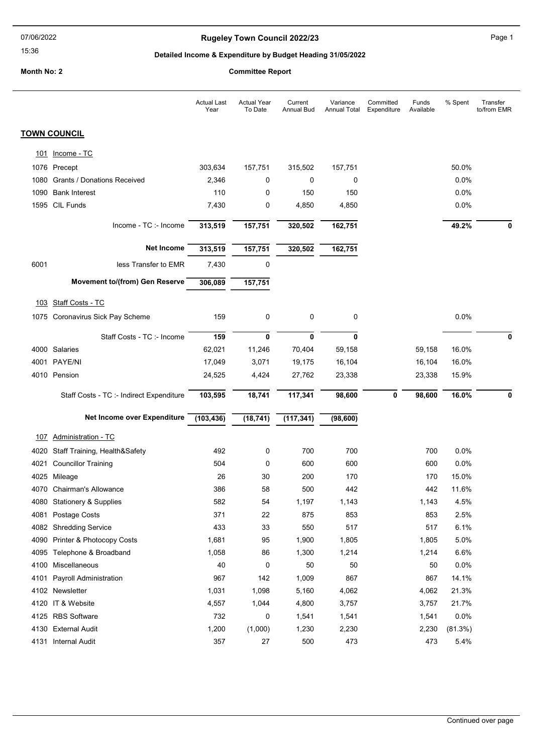# Rugeley Town Council 2022/23 Page 1

### Detailed Income & Expenditure by Budget Heading 31/05/2022

Month No: 2 Committee Report

|      |                                          | <b>Actual Last</b><br>Year | <b>Actual Year</b><br>To Date | Current<br><b>Annual Bud</b> | Variance<br><b>Annual Total</b> | Committed<br>Expenditure | Funds<br>Available | % Spent | Transfer<br>to/from EMR |
|------|------------------------------------------|----------------------------|-------------------------------|------------------------------|---------------------------------|--------------------------|--------------------|---------|-------------------------|
|      | <b>TOWN COUNCIL</b>                      |                            |                               |                              |                                 |                          |                    |         |                         |
| 101  | Income - TC                              |                            |                               |                              |                                 |                          |                    |         |                         |
|      | 1076 Precept                             | 303,634                    | 157,751                       | 315,502                      | 157,751                         |                          |                    | 50.0%   |                         |
| 1080 | Grants / Donations Received              | 2,346                      | 0                             | 0                            | 0                               |                          |                    | 0.0%    |                         |
|      | 1090 Bank Interest                       | 110                        | 0                             | 150                          | 150                             |                          |                    | 0.0%    |                         |
|      | 1595 CIL Funds                           | 7,430                      | 0                             | 4,850                        | 4,850                           |                          |                    | 0.0%    |                         |
|      |                                          |                            |                               |                              |                                 |                          |                    |         |                         |
|      | Income - TC :- Income                    | 313,519                    | 157,751                       | 320,502                      | 162,751                         |                          |                    | 49.2%   | 0                       |
|      | <b>Net Income</b>                        | 313,519                    | 157,751                       | 320,502                      | 162,751                         |                          |                    |         |                         |
| 6001 | less Transfer to EMR                     | 7,430                      | 0                             |                              |                                 |                          |                    |         |                         |
|      | Movement to/(from) Gen Reserve           | 306,089                    | 157,751                       |                              |                                 |                          |                    |         |                         |
| 103  | <b>Staff Costs - TC</b>                  |                            |                               |                              |                                 |                          |                    |         |                         |
|      | 1075 Coronavirus Sick Pay Scheme         | 159                        | 0                             | 0                            | 0                               |                          |                    | 0.0%    |                         |
|      |                                          |                            |                               |                              |                                 |                          |                    |         |                         |
|      | Staff Costs - TC :- Income               | 159                        | 0                             | 0                            | $\mathbf 0$                     |                          |                    |         | 0                       |
|      | 4000 Salaries                            | 62,021                     | 11,246                        | 70,404                       | 59,158                          |                          | 59,158             | 16.0%   |                         |
|      | 4001 PAYE/NI                             | 17,049                     | 3,071                         | 19,175                       | 16,104                          |                          | 16,104             | 16.0%   |                         |
|      | 4010 Pension                             | 24,525                     | 4,424                         | 27,762                       | 23,338                          |                          | 23,338             | 15.9%   |                         |
|      | Staff Costs - TC :- Indirect Expenditure | 103,595                    | 18,741                        | 117,341                      | 98,600                          | $\mathbf 0$              | 98,600             | 16.0%   |                         |
|      | Net Income over Expenditure              | (103, 436)                 | (18, 741)                     | (117, 341)                   | (98, 600)                       |                          |                    |         |                         |
|      |                                          |                            |                               |                              |                                 |                          |                    |         |                         |
| 107  | <b>Administration - TC</b>               |                            |                               |                              |                                 |                          |                    |         |                         |
| 4020 | Staff Training, Health&Safety            | 492                        | 0                             | 700                          | 700                             |                          | 700                | 0.0%    |                         |
| 4021 | <b>Councillor Training</b>               | 504                        | 0                             | 600                          | 600                             |                          | 600                | 0.0%    |                         |
|      | 4025 Mileage                             | 26                         | 30                            | 200                          | 170                             |                          | 170                | 15.0%   |                         |
|      | 4070 Chairman's Allowance                | 386                        | 58                            | 500                          | 442                             |                          | 442                | 11.6%   |                         |
|      | 4080 Stationery & Supplies               | 582                        | 54                            | 1,197                        | 1,143                           |                          | 1,143              | 4.5%    |                         |
|      | 4081 Postage Costs                       | 371                        | 22                            | 875                          | 853                             |                          | 853                | 2.5%    |                         |
|      | 4082 Shredding Service                   | 433                        | 33                            | 550                          | 517                             |                          | 517                | 6.1%    |                         |
| 4090 | Printer & Photocopy Costs                | 1,681                      | 95                            | 1,900                        | 1,805                           |                          | 1,805              | 5.0%    |                         |
|      | 4095 Telephone & Broadband               | 1,058                      | 86                            | 1,300                        | 1,214                           |                          | 1,214              | 6.6%    |                         |
|      | 4100 Miscellaneous                       | 40                         | 0                             | 50                           | 50                              |                          | 50                 | 0.0%    |                         |
|      | 4101 Payroll Administration              | 967                        | 142                           | 1,009                        | 867                             |                          | 867                | 14.1%   |                         |
|      | 4102 Newsletter                          | 1,031                      | 1,098                         | 5,160                        | 4,062                           |                          | 4,062              | 21.3%   |                         |
|      | 4120 IT & Website                        | 4,557                      | 1,044                         | 4,800                        | 3,757                           |                          | 3,757              | 21.7%   |                         |
|      | 4125 RBS Software                        | 732                        | 0                             | 1,541                        | 1,541                           |                          | 1,541              | 0.0%    |                         |
|      | 4130 External Audit                      | 1,200                      | (1,000)                       | 1,230                        | 2,230                           |                          | 2,230              | (81.3%) |                         |

4131 Internal Audit 357 27 500 473 473 5.4%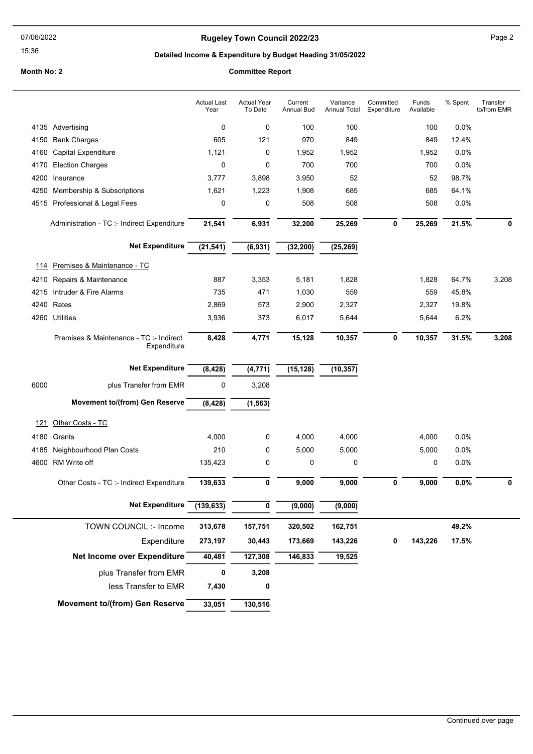### Rugeley Town Council 2022/23 **Page 2** Page 2

### Detailed Income & Expenditure by Budget Heading 31/05/2022

#### Month No: 2 Committee Report

### Actual Year To Date Current Annual Bud Variance Annual Total **Committed** Expenditure Funds Available Actual Last Year % Spent Transfer to/from EMR 4135 Advertising 100 100 100 100 100 100 100 0.0% 4150 Bank Charges 605 121 970 849 849 12.4% 4160 Capital Expenditure 1,121 0 1,952 1,952 1,952 0.0% 4170 Election Charges 0 0 700 700 700 0.0% 4200 Insurance 3,777 3,898 3,950 52 52 98.7% 4250 Membership & Subscriptions 1,621 1,223 1,908 685 685 64.1% 4515 Professional & Legal Fees 0 0 508 508 508 0.0% Administration - TC :- Indirect Expenditure 21,541 6,931 32,200 25,269 0 25,269 21.5% 0 Net Expenditure (21,541) (6,931) (32,200) (25,269) 114 Premises & Maintenance - TC 4210 Repairs & Maintenance 887 3,353 5,181 1,828 1,828 64.7% 3,208 4215 Intruder & Fire Alarms 735 471 1,030 559 559 45.8% 4240 Rates 2,869 573 2,900 2,327 2,327 19.8% 4260 Utilities 3,936 373 6,017 5,644 5,644 6.2% Premises & Maintenance - TC :- Indirect **8,428** 4,771 15,128 **Expenditure**  $\overline{10,357}$   $\overline{0}$   $\overline{10,357}$   $\overline{31.5\%}$   $\overline{3,208}$ Net Expenditure (8,428) (4,771) (15,128) (10,357) 6000 plus Transfer from EMR 0 3,208 Movement to/(from) Gen Reserve  $\overline{(8,428)}$  (1,563) 121 Other Costs - TC 4180 Grants 4,000 0 4,000 4,000 4,000 0.0% 4185 Neighbourhood Plan Costs 210 0 5,000 5,000 5,000 0.0% 4600 RM Write off 135,423 0 0 0 0 0.0% Other Costs - TC :- Indirect Expenditure 139,633 0 9,000 9,000 9,000 0 9,000 0.0% 0 9,000 0.0% Net Expenditure (139.633) 0 (9.000) (9.000) 30,443 173,669 157,751 320,502 162,751 143,226  $\overline{127,308}$  146,833 19,525 TOWN COUNCIL :- Income Net Income over Expenditure Expenditure 273,197 30,443 173,669 143,226 0 143,226 313,678 40,481 49.2% 17.5% plus Transfer from EMR 0 3,208 less Transfer to EMR 7.430 0 Movement to/(from) Gen Reserve 33,051 130,516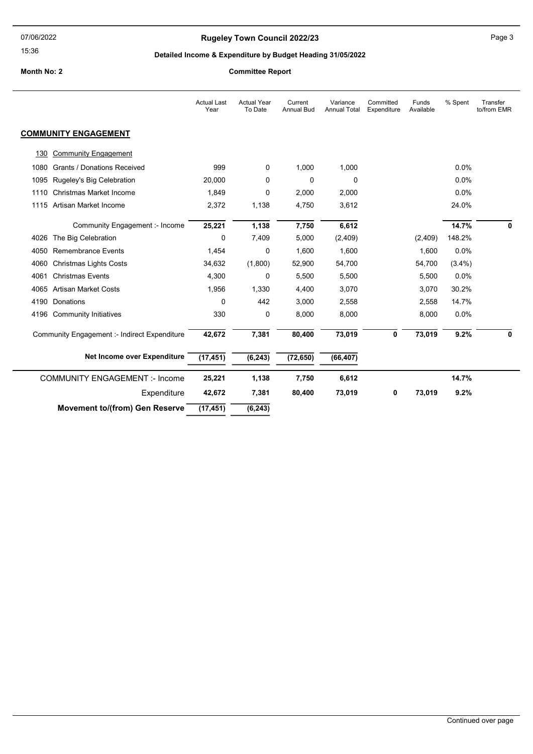# Rugeley Town Council 2022/23 Page 3

# Detailed Income & Expenditure by Budget Heading 31/05/2022

Month No: 2 Committee Report

|      |                                              | <b>Actual Last</b><br>Year | <b>Actual Year</b><br>To Date | Current<br><b>Annual Bud</b> | Variance<br><b>Annual Total</b> | Committed<br>Expenditure | Funds<br>Available | % Spent   | Transfer<br>to/from EMR |
|------|----------------------------------------------|----------------------------|-------------------------------|------------------------------|---------------------------------|--------------------------|--------------------|-----------|-------------------------|
|      | <b>COMMUNITY ENGAGEMENT</b>                  |                            |                               |                              |                                 |                          |                    |           |                         |
| 130  | <b>Community Engagement</b>                  |                            |                               |                              |                                 |                          |                    |           |                         |
| 1080 | <b>Grants / Donations Received</b>           | 999                        | 0                             | 1,000                        | 1,000                           |                          |                    | 0.0%      |                         |
| 1095 | Rugeley's Big Celebration                    | 20,000                     | 0                             | 0                            | 0                               |                          |                    | 0.0%      |                         |
| 1110 | Christmas Market Income                      | 1,849                      | 0                             | 2,000                        | 2,000                           |                          |                    | 0.0%      |                         |
|      | 1115 Artisan Market Income                   | 2,372                      | 1,138                         | 4,750                        | 3,612                           |                          |                    | 24.0%     |                         |
|      | Community Engagement :- Income               | 25,221                     | 1,138                         | 7,750                        | 6,612                           |                          |                    | 14.7%     | 0                       |
| 4026 | The Big Celebration                          | 0                          | 7,409                         | 5,000                        | (2,409)                         |                          | (2,409)            | 148.2%    |                         |
| 4050 | <b>Remembrance Events</b>                    | 1,454                      | 0                             | 1.600                        | 1,600                           |                          | 1,600              | 0.0%      |                         |
| 4060 | <b>Christmas Lights Costs</b>                | 34,632                     | (1,800)                       | 52,900                       | 54,700                          |                          | 54,700             | $(3.4\%)$ |                         |
| 4061 | <b>Christmas Events</b>                      | 4,300                      | 0                             | 5,500                        | 5,500                           |                          | 5,500              | 0.0%      |                         |
| 4065 | <b>Artisan Market Costs</b>                  | 1,956                      | 1,330                         | 4,400                        | 3,070                           |                          | 3,070              | 30.2%     |                         |
| 4190 | Donations                                    | 0                          | 442                           | 3,000                        | 2,558                           |                          | 2,558              | 14.7%     |                         |
| 4196 | <b>Community Initiatives</b>                 | 330                        | 0                             | 8,000                        | 8,000                           |                          | 8,000              | 0.0%      |                         |
|      | Community Engagement :- Indirect Expenditure | 42,672                     | 7,381                         | 80,400                       | 73,019                          | 0                        | 73,019             | 9.2%      | 0                       |
|      | Net Income over Expenditure                  | (17, 451)                  | (6, 243)                      | (72, 650)                    | (66, 407)                       |                          |                    |           |                         |
|      | <b>COMMUNITY ENGAGEMENT :- Income</b>        | 25,221                     | 1,138                         | 7,750                        | 6,612                           |                          |                    | 14.7%     |                         |
|      | Expenditure                                  | 42,672                     | 7,381                         | 80,400                       | 73,019                          | 0                        | 73,019             | 9.2%      |                         |
|      | <b>Movement to/(from) Gen Reserve</b>        | (17, 451)                  | (6, 243)                      |                              |                                 |                          |                    |           |                         |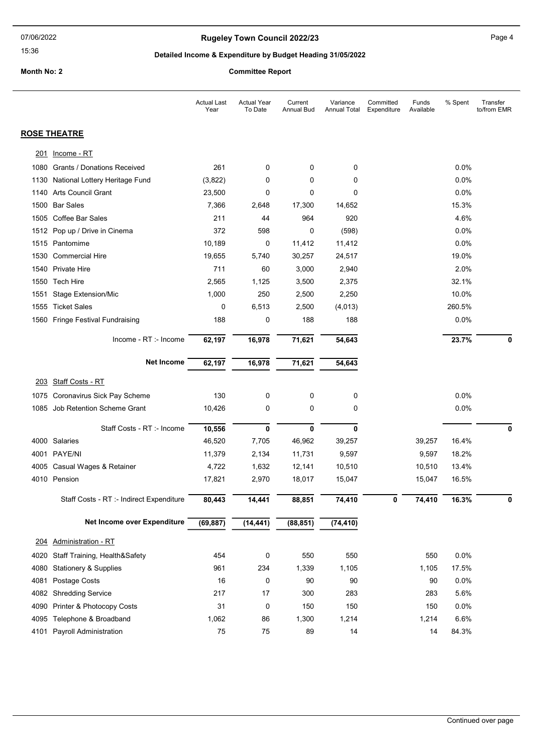# Rugeley Town Council 2022/23 Page 4

# Detailed Income & Expenditure by Budget Heading 31/05/2022

Month No: 2 Committee Report

|      |                                          | <b>Actual Last</b><br>Year | <b>Actual Year</b><br>To Date | Current<br><b>Annual Bud</b> | Variance<br><b>Annual Total</b> | Committed<br>Expenditure | Funds<br>Available | % Spent | Transfer<br>to/from EMR |
|------|------------------------------------------|----------------------------|-------------------------------|------------------------------|---------------------------------|--------------------------|--------------------|---------|-------------------------|
|      | <b>ROSE THEATRE</b>                      |                            |                               |                              |                                 |                          |                    |         |                         |
| 201  | Income - RT                              |                            |                               |                              |                                 |                          |                    |         |                         |
| 1080 | <b>Grants / Donations Received</b>       | 261                        | 0                             | 0                            | 0                               |                          |                    | $0.0\%$ |                         |
| 1130 | National Lottery Heritage Fund           | (3,822)                    | 0                             | 0                            | 0                               |                          |                    | 0.0%    |                         |
| 1140 | <b>Arts Council Grant</b>                | 23,500                     | 0                             | 0                            | 0                               |                          |                    | 0.0%    |                         |
| 1500 | <b>Bar Sales</b>                         | 7,366                      | 2,648                         | 17,300                       | 14,652                          |                          |                    | 15.3%   |                         |
| 1505 | <b>Coffee Bar Sales</b>                  | 211                        | 44                            | 964                          | 920                             |                          |                    | 4.6%    |                         |
|      | 1512 Pop up / Drive in Cinema            | 372                        | 598                           | 0                            | (598)                           |                          |                    | 0.0%    |                         |
|      | 1515 Pantomime                           | 10,189                     | 0                             | 11,412                       | 11,412                          |                          |                    | 0.0%    |                         |
| 1530 | <b>Commercial Hire</b>                   | 19,655                     | 5,740                         | 30,257                       | 24,517                          |                          |                    | 19.0%   |                         |
|      | 1540 Private Hire                        | 711                        | 60                            | 3,000                        | 2,940                           |                          |                    | 2.0%    |                         |
| 1550 | <b>Tech Hire</b>                         | 2,565                      | 1,125                         | 3,500                        | 2,375                           |                          |                    | 32.1%   |                         |
| 1551 | <b>Stage Extension/Mic</b>               | 1,000                      | 250                           | 2,500                        | 2,250                           |                          |                    | 10.0%   |                         |
| 1555 | <b>Ticket Sales</b>                      | 0                          | 6,513                         | 2,500                        | (4,013)                         |                          |                    | 260.5%  |                         |
|      | 1560 Fringe Festival Fundraising         | 188                        | 0                             | 188                          | 188                             |                          |                    | 0.0%    |                         |
|      | Income - RT :- Income                    | 62,197                     | 16,978                        | 71,621                       | 54,643                          |                          |                    | 23.7%   | 0                       |
|      | <b>Net Income</b>                        | 62,197                     | 16,978                        | 71,621                       | 54,643                          |                          |                    |         |                         |
|      | 203 Staff Costs - RT                     |                            |                               |                              |                                 |                          |                    |         |                         |
| 1075 | Coronavirus Sick Pay Scheme              | 130                        | 0                             | 0                            | 0                               |                          |                    | 0.0%    |                         |
|      | 1085 Job Retention Scheme Grant          | 10,426                     | 0                             | 0                            | 0                               |                          |                    | 0.0%    |                         |
|      | Staff Costs - RT :- Income               | 10,556                     | 0                             | $\mathbf 0$                  | $\mathbf{0}$                    |                          |                    |         | 0                       |
|      | 4000 Salaries                            | 46,520                     | 7,705                         | 46,962                       | 39,257                          |                          | 39,257             | 16.4%   |                         |
|      | 4001 PAYE/NI                             | 11,379                     | 2,134                         | 11,731                       | 9,597                           |                          | 9,597              | 18.2%   |                         |
| 4005 | Casual Wages & Retainer                  | 4,722                      | 1,632                         | 12,141                       | 10,510                          |                          | 10,510             | 13.4%   |                         |
|      | 4010 Pension                             | 17,821                     | 2,970                         | 18,017                       | 15,047                          |                          | 15,047             | 16.5%   |                         |
|      | Staff Costs - RT :- Indirect Expenditure | 80,443                     | 14,441                        | 88,851                       | 74,410                          | 0                        | 74,410             | 16.3%   | 0                       |
|      | Net Income over Expenditure              | (69, 887)                  | (14, 441)                     | (88, 851)                    | (74, 410)                       |                          |                    |         |                         |
| 204  | Administration - RT                      |                            |                               |                              |                                 |                          |                    |         |                         |
| 4020 | Staff Training, Health&Safety            | 454                        | 0                             | 550                          | 550                             |                          | 550                | 0.0%    |                         |
| 4080 | <b>Stationery &amp; Supplies</b>         | 961                        | 234                           | 1,339                        | 1,105                           |                          | 1,105              | 17.5%   |                         |
| 4081 | Postage Costs                            | 16                         | 0                             | 90                           | 90                              |                          | 90                 | 0.0%    |                         |
| 4082 | <b>Shredding Service</b>                 | 217                        | 17                            | 300                          | 283                             |                          | 283                | 5.6%    |                         |
| 4090 | Printer & Photocopy Costs                | 31                         | 0                             | 150                          | 150                             |                          | 150                | 0.0%    |                         |
| 4095 | Telephone & Broadband                    | 1,062                      | 86                            | 1,300                        | 1,214                           |                          | 1,214              | 6.6%    |                         |
| 4101 | Payroll Administration                   | 75                         | 75                            | 89                           | 14                              |                          | 14                 | 84.3%   |                         |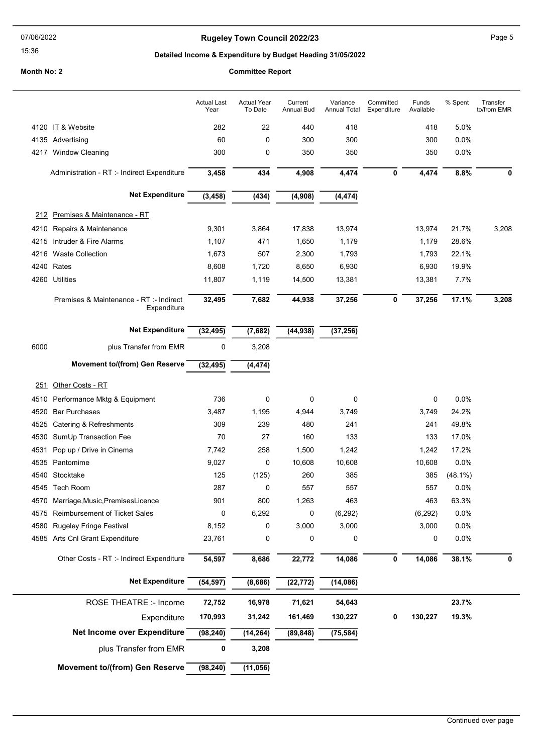#### 07/06/2022

#### 15:36

### Rugeley Town Council 2022/23 Page 5

% Spent Transfer

to/from EMR

### Detailed Income & Expenditure by Budget Heading 31/05/2022

### Month No: 2 Committee Report

#### Actual Year To Date Current Annual Bud Variance Annual Total Committed Expenditure Funds Available Actual Last Year 4120 IT & Website 282 22 440 418 418 5.0% 4135 Advertising 60 0 300 300 300 0.0% 4217 Window Cleaning 300 0 350 350 350 0.0% Administration - RT :- Indirect Expenditure 3,458 434 4,908 4,474 0 4,474 8.8% 0 Net Expenditure (3,458) (434) (4,908) (4,474) 212 Premises & Maintenance - RT 4210 Repairs & Maintenance 9,301 3,864 17,838 13,974 13,974 21.7% 3,208 4215 Intruder & Fire Alarms 1,107 471 1,650 1,179 1,179 28.6% 4216 Waste Collection 1,673 507 2,300 1,793 1,793 22.1%

| 4260 | Utilities                                              | 11.807    | 1.119    | 14.500    | 13,381    |   | 13.381 | 7.7%  |       |
|------|--------------------------------------------------------|-----------|----------|-----------|-----------|---|--------|-------|-------|
|      | Premises & Maintenance - RT :- Indirect<br>Expenditure | 32,495    | 7,682    | 44,938    | 37,256    | 0 | 37,256 | 17.1% | 3,208 |
|      | <b>Net Expenditure</b>                                 | (32, 495) | (7,682)  | (44, 938) | (37, 256) |   |        |       |       |
| 6000 | plus Transfer from EMR                                 | 0         | 3,208    |           |           |   |        |       |       |
|      | <b>Movement to/(from) Gen Reserve</b>                  | (32, 495) | (4, 474) |           |           |   |        |       |       |
| 251  | Other Costs - RT                                       |           |          |           |           |   |        |       |       |

4240 Rates 8,608 1,720 8,650 6,930 6,930 19.9%

| 4510 Performance Mktg & Equipment            | 736       | 0         | 0         | 0         |             | 0        | 0.0%       |   |
|----------------------------------------------|-----------|-----------|-----------|-----------|-------------|----------|------------|---|
| 4520<br><b>Bar Purchases</b>                 | 3,487     | 1,195     | 4,944     | 3,749     |             | 3,749    | 24.2%      |   |
| 4525<br>Catering & Refreshments              | 309       | 239       | 480       | 241       |             | 241      | 49.8%      |   |
| 4530<br>SumUp Transaction Fee                | 70        | 27        | 160       | 133       |             | 133      | 17.0%      |   |
| 4531<br>Pop up / Drive in Cinema             | 7,742     | 258       | 1,500     | 1,242     |             | 1,242    | 17.2%      |   |
| 4535<br>Pantomime                            | 9,027     | 0         | 10,608    | 10,608    |             | 10,608   | 0.0%       |   |
| Stocktake<br>4540                            | 125       | (125)     | 260       | 385       |             | 385      | $(48.1\%)$ |   |
| Tech Room<br>4545                            | 287       | 0         | 557       | 557       |             | 557      | $0.0\%$    |   |
| 4570<br>Marriage, Music, Premises Licence    | 901       | 800       | 1,263     | 463       |             | 463      | 63.3%      |   |
| <b>Reimbursement of Ticket Sales</b><br>4575 | 0         | 6,292     | 0         | (6, 292)  |             | (6, 292) | $0.0\%$    |   |
| 4580<br><b>Rugeley Fringe Festival</b>       | 8,152     | 0         | 3,000     | 3,000     |             | 3,000    | $0.0\%$    |   |
| Arts Cnl Grant Expenditure<br>4585           | 23,761    | 0         | 0         | 0         |             | 0        | $0.0\%$    |   |
| Other Costs - RT :- Indirect Expenditure     | 54,597    | 8,686     | 22,772    | 14,086    | $\mathbf 0$ | 14,086   | 38.1%      | 0 |
| <b>Net Expenditure</b>                       | (54, 597) | (8,686)   | (22, 772) | (14,086)  |             |          |            |   |
| ROSE THEATRE :- Income                       | 72,752    | 16,978    | 71,621    | 54,643    |             |          | 23.7%      |   |
| Expenditure                                  | 170,993   | 31,242    | 161,469   | 130,227   | 0           | 130,227  | 19.3%      |   |
| <b>Net Income over Expenditure</b>           | (98, 240) | (14, 264) | (89, 848) | (75, 584) |             |          |            |   |

plus Transfer from EMR 0 3,208

Movement to/(from) Gen Reserve  $\frac{1}{(98,240)}$   $\frac{1}{(11,056)}$